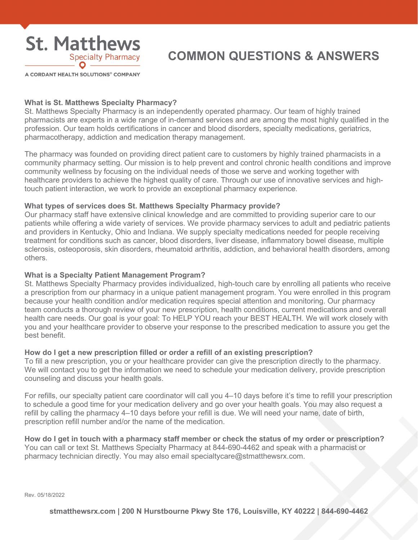

A CORDANT HEALTH SOLUTIONS® COMPANY

### **What is St. Matthews Specialty Pharmacy?**

St. Matthews Specialty Pharmacy is an independently operated pharmacy. Our team of highly trained pharmacists are experts in a wide range of in-demand services and are among the most highly qualified in the profession. Our team holds certifications in cancer and blood disorders, specialty medications, geriatrics, pharmacotherapy, addiction and medication therapy management.

The pharmacy was founded on providing direct patient care to customers by highly trained pharmacists in a community pharmacy setting. Our mission is to help prevent and control chronic health conditions and improve community wellness by focusing on the individual needs of those we serve and working together with healthcare providers to achieve the highest quality of care. Through our use of innovative services and hightouch patient interaction, we work to provide an exceptional pharmacy experience.

#### **What types of services does St. Matthews Specialty Pharmacy provide?**

Our pharmacy staff have extensive clinical knowledge and are committed to providing superior care to our patients while offering a wide variety of services. We provide pharmacy services to adult and pediatric patients and providers in Kentucky, Ohio and Indiana. We supply specialty medications needed for people receiving treatment for conditions such as cancer, blood disorders, liver disease, inflammatory bowel disease, multiple sclerosis, osteoporosis, skin disorders, rheumatoid arthritis, addiction, and behavioral health disorders, among others.

# **What is a Specialty Patient Management Program?**

St. Matthews Specialty Pharmacy provides individualized, high-touch care by enrolling all patients who receive a prescription from our pharmacy in a unique patient management program. You were enrolled in this program because your health condition and/or medication requires special attention and monitoring. Our pharmacy team conducts a thorough review of your new prescription, health conditions, current medications and overall health care needs. Our goal is your goal: To HELP YOU reach your BEST HEALTH. We will work closely with you and your healthcare provider to observe your response to the prescribed medication to assure you get the best benefit.

# **How do I get a new prescription filled or order a refill of an existing prescription?**

To fill a new prescription, you or your healthcare provider can give the prescription directly to the pharmacy. We will contact you to get the information we need to schedule your medication delivery, provide prescription counseling and discuss your health goals.

For refills, our specialty patient care coordinator will call you 4–10 days before it's time to refill your prescription to schedule a good time for your medication delivery and go over your health goals. You may also request a refill by calling the pharmacy 4–10 days before your refill is due. We will need your name, date of birth, prescription refill number and/or the name of the medication.

**How do I get in touch with a pharmacy staff member or check the status of my order or prescription?** You can call or text St. Matthews Specialty Pharmacy at 844-690-4462 and speak with a pharmacist or pharmacy technician directly. You may also email specialtycare@stmatthewsrx.com.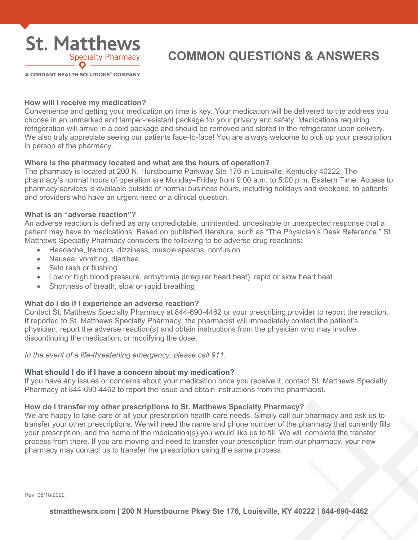

A CORDANT HEALTH SOLUTIONS® COMPANY

# **How will I receive my medication?**

Convenience and getting your medication on time is key. Your medication will be delivered to the address you choose in an unmarked and tamper-resistant package for your privacy and safety. Medications requiring refrigeration will arrive in a cold package and should be removed and stored in the refrigerator upon delivery. We also truly appreciate seeing our patients face-to-face! You are always welcome to pick up your prescription in person at the pharmacy.

# **Where is the pharmacy located and what are the hours of operation?**

The pharmacy is located at 200 N. Hurstbourne Parkway Ste 176 in Louisville, Kentucky 40222. The pharmacy's normal hours of operation are Monday–Friday from 9:00 a.m. to 5:00 p.m. Eastern Time. Access to pharmacy services is available outside of normal business hours, including holidays and weekend, to patients and providers who have an urgent need or a clinical question.

# **What is an "adverse reaction"?**

An adverse reaction is defined as any unpredictable, unintended, undesirable or unexpected response that a patient may have to medications. Based on published literature, such as "The Physician's Desk Reference," St. Matthews Specialty Pharmacy considers the following to be adverse drug reactions:

- Headache, tremors, dizziness, muscle spasms, confusion
- Nausea, vomiting, diarrhea
- Skin rash or flushing
- Low or high blood pressure, arrhythmia (irregular heart beat), rapid or slow heart beat
- Shortness of breath, slow or rapid breathing

# **What do I do if I experience an adverse reaction?**

Contact St. Matthews Specialty Pharmacy at 844-690-4462 or your prescribing provider to report the reaction. If reported to St. Matthews Specialty Pharmacy, the pharmacist will immediately contact the patient's physician, report the adverse reaction(s) and obtain instructions from the physician who may involve discontinuing the medication, or modifying the dose.

*In the event of a life-threatening emergency, please call 911.* 

# **What should I do if I have a concern about my medication?**

If you have any issues or concerns about your medication once you receive it, contact St. Matthews Specialty Pharmacy at 844-690-4462 to report the issue and obtain instructions from the pharmacist.

# **How do I transfer my other prescriptions to St. Matthews Specialty Pharmacy?**

We are happy to take care of all your prescription health care needs. Simply call our pharmacy and ask us to transfer your other prescriptions. We will need the name and phone number of the pharmacy that currently fills your prescription, and the name of the medication(s) you would like us to fill. We will complete the transfer process from there. If you are moving and need to transfer your prescription from our pharmacy, your new pharmacy may contact us to transfer the prescription using the same process.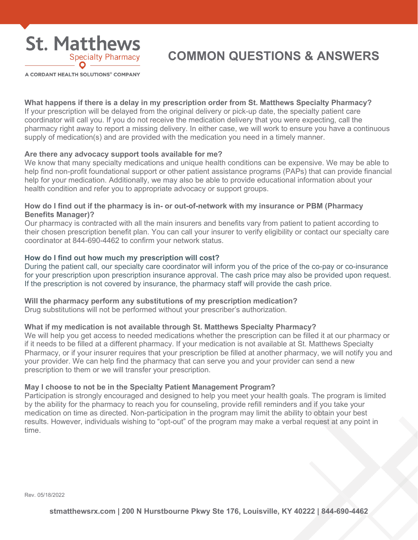

A CORDANT HEALTH SOLUTIONS® COMPANY

#### **What happens if there is a delay in my prescription order from St. Matthews Specialty Pharmacy?**

If your prescription will be delayed from the original delivery or pick-up date, the specialty patient care coordinator will call you. If you do not receive the medication delivery that you were expecting, call the pharmacy right away to report a missing delivery. In either case, we will work to ensure you have a continuous supply of medication(s) and are provided with the medication you need in a timely manner.

#### **Are there any advocacy support tools available for me?**

We know that many specialty medications and unique health conditions can be expensive. We may be able to help find non-profit foundational support or other patient assistance programs (PAPs) that can provide financial help for your medication. Additionally, we may also be able to provide educational information about your health condition and refer you to appropriate advocacy or support groups.

#### **How do I find out if the pharmacy is in- or out-of-network with my insurance or PBM (Pharmacy Benefits Manager)?**

Our pharmacy is contracted with all the main insurers and benefits vary from patient to patient according to their chosen prescription benefit plan. You can call your insurer to verify eligibility or contact our specialty care coordinator at 844-690-4462 to confirm your network status.

#### **How do I find out how much my prescription will cost?**

During the patient call, our specialty care coordinator will inform you of the price of the co-pay or co-insurance for your prescription upon prescription insurance approval. The cash price may also be provided upon request. If the prescription is not covered by insurance, the pharmacy staff will provide the cash price.

# **Will the pharmacy perform any substitutions of my prescription medication?**

Drug substitutions will not be performed without your prescriber's authorization.

### **What if my medication is not available through St. Matthews Specialty Pharmacy?**

We will help you get access to needed medications whether the prescription can be filled it at our pharmacy or if it needs to be filled at a different pharmacy. If your medication is not available at St. Matthews Specialty Pharmacy, or if your insurer requires that your prescription be filled at another pharmacy, we will notify you and your provider. We can help find the pharmacy that can serve you and your provider can send a new prescription to them or we will transfer your prescription.

#### **May I choose to not be in the Specialty Patient Management Program?**

Participation is strongly encouraged and designed to help you meet your health goals. The program is limited by the ability for the pharmacy to reach you for counseling, provide refill reminders and if you take your medication on time as directed. Non-participation in the program may limit the ability to obtain your best results. However, individuals wishing to "opt-out" of the program may make a verbal request at any point in time.